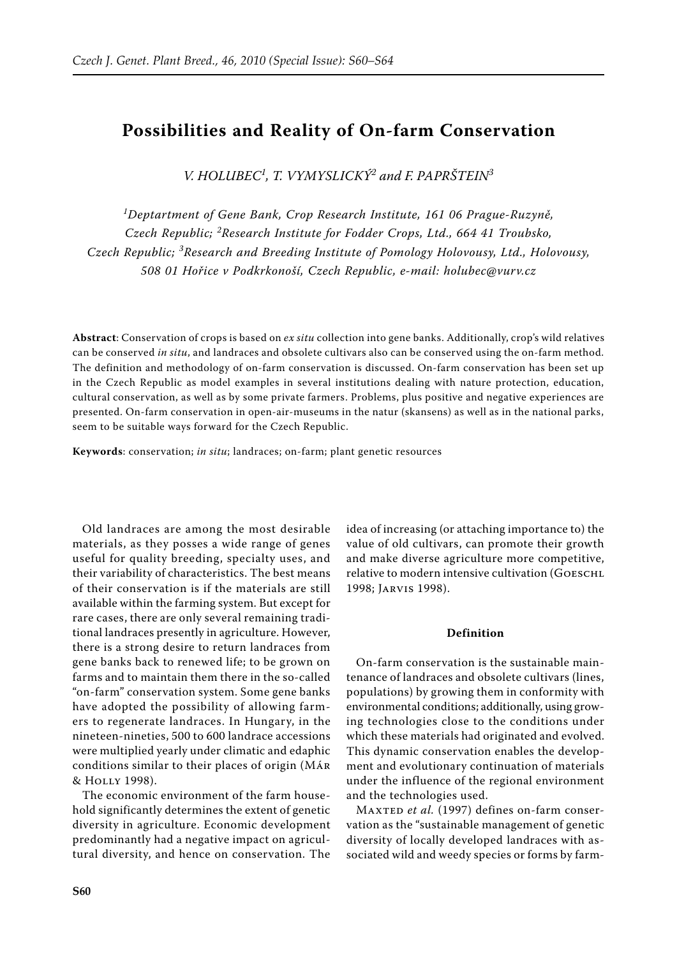# **Possibilities and Reality of On-farm Conservation**

*V. Holubec<sup>1</sup> , T. Vymyslický<sup>2</sup> and F. Paprštein<sup>3</sup>*

*1 Deptartment of Gene Bank, Crop Research Institute, 161 06 Prague-Ruzyně,*  Czech Republic; <sup>2</sup> Research Institute for Fodder Crops, Ltd., 664 41 Troubsko, *Czech Republic; <sup>3</sup> Research and Breeding Institute of Pomology Holovousy, Ltd., Holovousy, 508 01 Hořice v Podkrkonoší, Czech Republic, e-mail: holubec@vurv.cz*

**Abstract**: Conservation of crops is based on *ex situ* collection into gene banks. Additionally, crop's wild relatives can be conserved *in situ*, and landraces and obsolete cultivars also can be conserved using the on-farm method. The definition and methodology of on-farm conservation is discussed. On-farm conservation has been set up in the Czech Republic as model examples in several institutions dealing with nature protection, education, cultural conservation, as well as by some private farmers. Problems, plus positive and negative experiences are presented. On-farm conservation in open-air-museums in the natur (skansens) as well as in the national parks, seem to be suitable ways forward for the Czech Republic.

**Keywords**: conservation; *in situ*; landraces; on-farm; plant genetic resources

Old landraces are among the most desirable materials, as they posses a wide range of genes useful for quality breeding, specialty uses, and their variability of characteristics. The best means of their conservation is if the materials are still available within the farming system. But except for rare cases, there are only several remaining traditional landraces presently in agriculture. However, there is a strong desire to return landraces from gene banks back to renewed life; to be grown on farms and to maintain them there in the so-called "on-farm" conservation system. Some gene banks have adopted the possibility of allowing farmers to regenerate landraces. In Hungary, in the nineteen-nineties, 500 to 600 landrace accessions were multiplied yearly under climatic and edaphic conditions similar to their places of origin (Már & Holly 1998).

The economic environment of the farm household significantly determines the extent of genetic diversity in agriculture. Economic development predominantly had a negative impact on agricultural diversity, and hence on conservation. The idea of increasing (or attaching importance to) the value of old cultivars, can promote their growth and make diverse agriculture more competitive, relative to modern intensive cultivation (GOESCHL 1998; Jarvis 1998).

### **Definition**

On-farm conservation is the sustainable maintenance of landraces and obsolete cultivars (lines, populations) by growing them in conformity with environmental conditions; additionally, using growing technologies close to the conditions under which these materials had originated and evolved. This dynamic conservation enables the development and evolutionary continuation of materials under the influence of the regional environment and the technologies used.

MAXTED et al. (1997) defines on-farm conservation as the "sustainable management of genetic diversity of locally developed landraces with associated wild and weedy species or forms by farm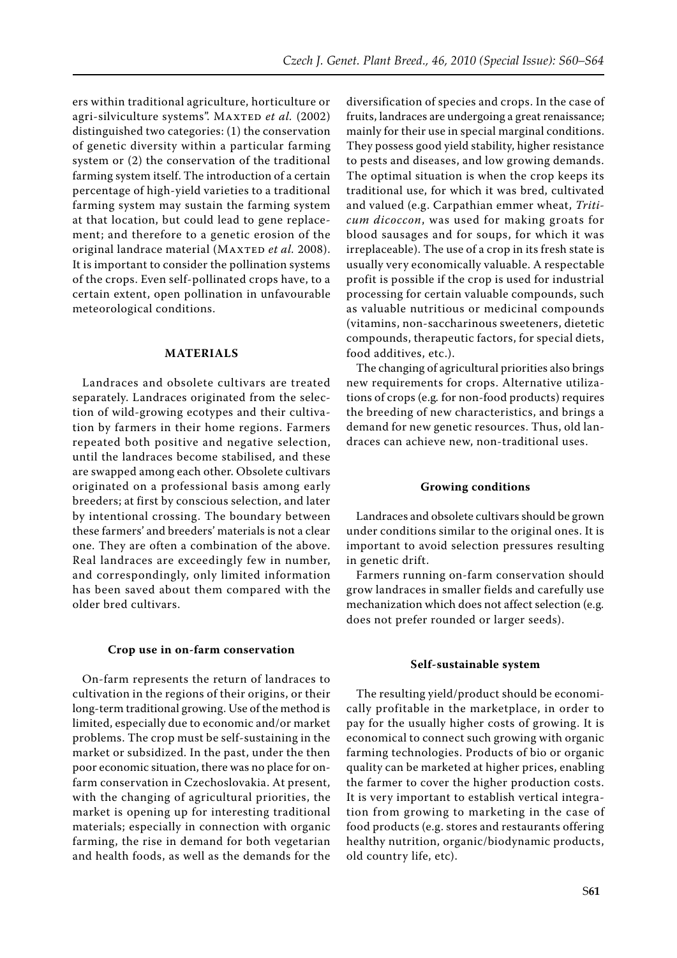ers within traditional agriculture, horticulture or agri-silviculture systems". MAXTED et al. (2002) distinguished two categories: (1) the conservation of genetic diversity within a particular farming system or (2) the conservation of the traditional farming system itself. The introduction of a certain percentage of high-yield varieties to a traditional farming system may sustain the farming system at that location, but could lead to gene replacement; and therefore to a genetic erosion of the original landrace material (MAXTED et al. 2008). It is important to consider the pollination systems of the crops. Even self-pollinated crops have, to a certain extent, open pollination in unfavourable meteorological conditions.

### **MATERIALS**

Landraces and obsolete cultivars are treated separately. Landraces originated from the selection of wild-growing ecotypes and their cultivation by farmers in their home regions. Farmers repeated both positive and negative selection, until the landraces become stabilised, and these are swapped among each other. Obsolete cultivars originated on a professional basis among early breeders; at first by conscious selection, and later by intentional crossing. The boundary between these farmers' and breeders' materials is not a clear one. They are often a combination of the above. Real landraces are exceedingly few in number, and correspondingly, only limited information has been saved about them compared with the older bred cultivars.

#### **Crop use in on-farm conservation**

On-farm represents the return of landraces to cultivation in the regions of their origins, or their long-term traditional growing. Use of the method is limited, especially due to economic and/or market problems. The crop must be self-sustaining in the market or subsidized. In the past, under the then poor economic situation, there was no place for onfarm conservation in Czechoslovakia. At present, with the changing of agricultural priorities, the market is opening up for interesting traditional materials; especially in connection with organic farming, the rise in demand for both vegetarian and health foods, as well as the demands for the

diversification of species and crops. In the case of fruits, landraces are undergoing a great renaissance; mainly for their use in special marginal conditions. They possess good yield stability, higher resistance to pests and diseases, and low growing demands. The optimal situation is when the crop keeps its traditional use, for which it was bred, cultivated and valued (e.g. Carpathian emmer wheat, *Triticum dicoccon*, was used for making groats for blood sausages and for soups, for which it was irreplaceable). The use of a crop in its fresh state is usually very economically valuable. A respectable profit is possible if the crop is used for industrial processing for certain valuable compounds, such as valuable nutritious or medicinal compounds (vitamins, non-saccharinous sweeteners, dietetic compounds, therapeutic factors, for special diets, food additives, etc.).

The changing of agricultural priorities also brings new requirements for crops. Alternative utilizations of crops (e.g*.* for non-food products) requires the breeding of new characteristics, and brings a demand for new genetic resources. Thus, old landraces can achieve new, non-traditional uses.

#### **Growing conditions**

Landraces and obsolete cultivars should be grown under conditions similar to the original ones. It is important to avoid selection pressures resulting in genetic drift.

Farmers running on-farm conservation should grow landraces in smaller fields and carefully use mechanization which does not affect selection (e.g*.* does not prefer rounded or larger seeds).

#### **Self-sustainable system**

The resulting yield/product should be economically profitable in the marketplace, in order to pay for the usually higher costs of growing. It is economical to connect such growing with organic farming technologies. Products of bio or organic quality can be marketed at higher prices, enabling the farmer to cover the higher production costs. It is very important to establish vertical integration from growing to marketing in the case of food products (e.g. stores and restaurants offering healthy nutrition, organic/biodynamic products, old country life, etc).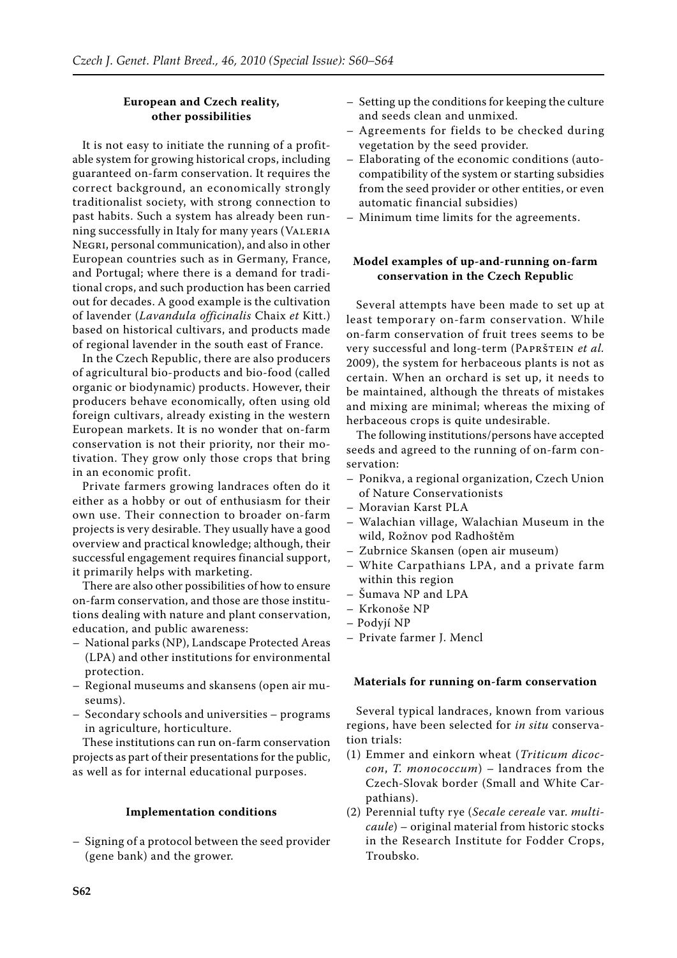# **European and Czech reality, other possibilities**

It is not easy to initiate the running of a profitable system for growing historical crops, including guaranteed on-farm conservation. It requires the correct background, an economically strongly traditionalist society, with strong connection to past habits. Such a system has already been running successfully in Italy for many years (Valeria Negri, personal communication), and also in other European countries such as in Germany, France, and Portugal; where there is a demand for traditional crops, and such production has been carried out for decades. A good example is the cultivation of lavender (*Lavandula officinalis* Chaix *et* Kitt.) based on historical cultivars, and products made of regional lavender in the south east of France.

In the Czech Republic, there are also producers of agricultural bio-products and bio-food (called organic or biodynamic) products. However, their producers behave economically, often using old foreign cultivars, already existing in the western European markets. It is no wonder that on-farm conservation is not their priority, nor their motivation. They grow only those crops that bring in an economic profit.

Private farmers growing landraces often do it either as a hobby or out of enthusiasm for their own use. Their connection to broader on-farm projects is very desirable. They usually have a good overview and practical knowledge; although, their successful engagement requires financial support, it primarily helps with marketing.

There are also other possibilities of how to ensure on-farm conservation, and those are those institutions dealing with nature and plant conservation, education, and public awareness:

- National parks (NP), Landscape Protected Areas (LPA) and other institutions for environmental protection.
- Regional museums and skansens (open air museums).
- Secondary schools and universities programs in agriculture, horticulture.

These institutions can run on-farm conservation projects as part of their presentations for the public, as well as for internal educational purposes.

## **Implementation conditions**

– Signing of a protocol between the seed provider (gene bank) and the grower.

- Setting up the conditions for keeping the culture and seeds clean and unmixed.
- Agreements for fields to be checked during vegetation by the seed provider.
- Elaborating of the economic conditions (autocompatibility of the system or starting subsidies from the seed provider or other entities, or even automatic financial subsidies)
- Minimum time limits for the agreements.

# **Model examples of up-and-running on-farm conservation in the Czech Republic**

Several attempts have been made to set up at least temporary on-farm conservation. While on-farm conservation of fruit trees seems to be very successful and long-term (Paprštein *et al.* 2009), the system for herbaceous plants is not as certain. When an orchard is set up, it needs to be maintained, although the threats of mistakes and mixing are minimal; whereas the mixing of herbaceous crops is quite undesirable.

The following institutions/persons have accepted seeds and agreed to the running of on-farm conservation:

- Ponikva, a regional organization, Czech Union of Nature Conservationists
- Moravian Karst PLA
- Walachian village, Walachian Museum in the wild, Rožnov pod Radhoštěm
- Zubrnice Skansen (open air museum)
- White Carpathians LPA, and a private farm within this region
- Šumava NP and LPA
- Krkonoše NP
- Podyjí NP
- Private farmer J. Mencl

### **Materials for running on-farm conservation**

Several typical landraces, known from various regions, have been selected for *in situ* conservation trials:

- (1) Emmer and einkorn wheat (*Triticum dicoccon*, *T. monococcum*) – landraces from the Czech-Slovak border (Small and White Carpathians).
- (2) Perennial tufty rye (*Secale cereale* var. *multicaule*) – original material from historic stocks in the Research Institute for Fodder Crops, Troubsko.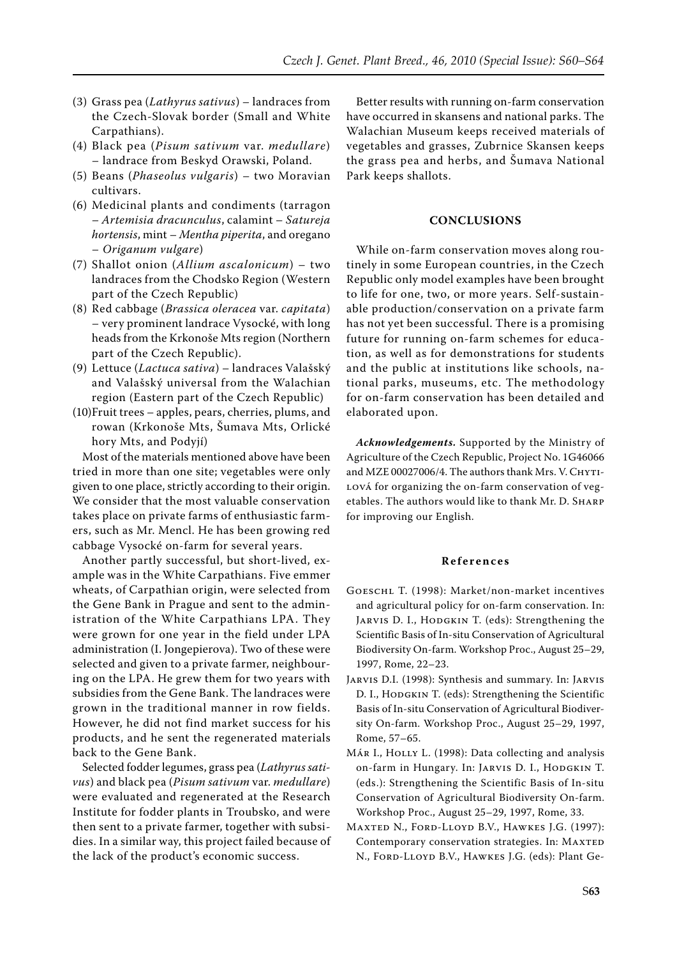- (3) Grass pea (*Lathyrus sativus*) landraces from the Czech-Slovak border (Small and White Carpathians).
- (4) Black pea (*Pisum sativum* var. *medullare*) – landrace from Beskyd Orawski, Poland.
- (5) Beans (*Phaseolus vulgaris*) two Moravian cultivars.
- (6) Medicinal plants and condiments (tarragon – *Artemisia dracunculus*, calamint – *Satureja hortensis*, mint – *Mentha piperita*, and oregano – *Origanum vulgare*)
- (7) Shallot onion (*Allium ascalonicum*) two landraces from the Chodsko Region (Western part of the Czech Republic)
- (8) Red cabbage (*Brassica oleracea* var. *capitata*) – very prominent landrace Vysocké, with long heads from the Krkonoše Mts region (Northern part of the Czech Republic).
- (9) Lettuce (*Lactuca sativa*) landraces Valašský and Valašský universal from the Walachian region (Eastern part of the Czech Republic)
- (10)Fruit trees apples, pears, cherries, plums, and rowan (Krkonoše Mts, Šumava Mts, Orlické hory Mts, and Podyjí)

Most of the materials mentioned above have been tried in more than one site; vegetables were only given to one place, strictly according to their origin. We consider that the most valuable conservation takes place on private farms of enthusiastic farmers, such as Mr. Mencl. He has been growing red cabbage Vysocké on-farm for several years.

Another partly successful, but short-lived, example was in the White Carpathians. Five emmer wheats, of Carpathian origin, were selected from the Gene Bank in Prague and sent to the administration of the White Carpathians LPA. They were grown for one year in the field under LPA administration (I. Jongepierova). Two of these were selected and given to a private farmer, neighbouring on the LPA. He grew them for two years with subsidies from the Gene Bank. The landraces were grown in the traditional manner in row fields. However, he did not find market success for his products, and he sent the regenerated materials back to the Gene Bank.

Selected fodder legumes, grass pea (*Lathyrus sativus*) and black pea (*Pisum sativum* var. *medullare*) were evaluated and regenerated at the Research Institute for fodder plants in Troubsko, and were then sent to a private farmer, together with subsidies. In a similar way, this project failed because of the lack of the product's economic success.

Better results with running on-farm conservation have occurred in skansens and national parks. The Walachian Museum keeps received materials of vegetables and grasses, Zubrnice Skansen keeps the grass pea and herbs, and Šumava National Park keeps shallots.

### **CONCLUSIONS**

While on-farm conservation moves along routinely in some European countries, in the Czech Republic only model examples have been brought to life for one, two, or more years. Self-sustainable production/conservation on a private farm has not yet been successful. There is a promising future for running on-farm schemes for education, as well as for demonstrations for students and the public at institutions like schools, national parks, museums, etc. The methodology for on-farm conservation has been detailed and elaborated upon.

*Acknowledgements.* Supported by the Ministry of Agriculture of the Czech Republic, Project No. 1G46066 and MZE 00027006/4. The authors thank Mrs. V. CHYTI-LOVÁ for organizing the on-farm conservation of vegetables. The authors would like to thank Mr. D. SHARP for improving our English.

#### **R e f e r e n c e s**

- Goeschl T. (1998): Market/non-market incentives and agricultural policy for on-farm conservation. In: JARVIS D. I., HODGKIN T. (eds): Strengthening the Scientific Basis of In-situ Conservation of Agricultural Biodiversity On-farm. Workshop proc., August 25–29, 1997, Rome, 22–23.
- Jarvis D.I. (1998): Synthesis and summary. In: Jarvis D. I., HODGKIN T. (eds): Strengthening the Scientific Basis of In-situ Conservation of Agricultural Biodiversity On-farm. Workshop proc., August 25–29, 1997, Rome, 57–65.
- MÁR I., HOLLY L. (1998): Data collecting and analysis on-farm in Hungary. In: JARVIS D. I., HODGKIN T. (eds.): Strengthening the Scientific Basis of In-situ Conservation of Agricultural Biodiversity On-farm. Workshop proc., August 25–29, 1997, Rome, 33.
- Maxted N., Ford-Lloyd B.V., Hawkes J.G. (1997): Contemporary conservation strategies. In: MAXTED N., FORD-LLOYD B.V., HAWKES J.G. (eds): Plant Ge-